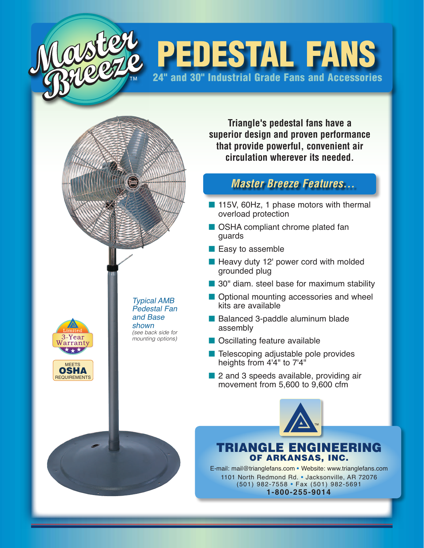

## **PEDESTAL FANS** 24" and 30" Industrial Grade Fans and Accessories

**Triangle's pedestal fans have a superior design and proven performance that provide powerful, convenient air circulation wherever its needed.**

## *Master Breeze Features...*

- 115V, 60Hz, 1 phase motors with thermal overload protection
- OSHA compliant chrome plated fan guards
- $\blacksquare$  Easy to assemble
- $\blacksquare$  Heavy duty 12' power cord with molded grounded plug
- $\blacksquare$  30" diam. steel base for maximum stability
- **n** Optional mounting accessories and wheel kits are available
- Balanced 3-paddle aluminum blade assembly
- Oscillating feature available
- Telescoping adjustable pole provides heights from 4'4" to 7'4"
- 2 and 3 speeds available, providing air movement from 5,600 to 9,600 cfm



## Triangle Engineering of arkansas, inc.

E-mail: mail@trianglefans.com **•** Website: www.trianglefans.com 1101 North Redmond Rd. **•** Jacksonville, AR 72076 (501) 982-7558 **•** Fax (501) 982-5691 **1-800-255-9014**



Typical AMB Pedestal Fan and Base shown *(see back side for mounting options)*